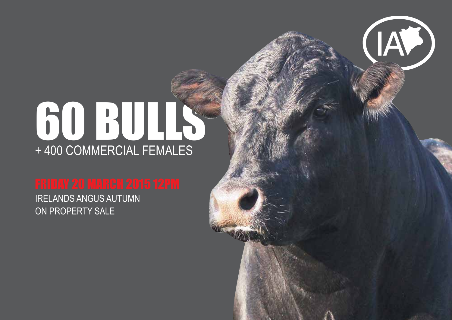# 60 BULLS + 400 COMMERCIAL FEMALES

(IAV)

Irelands Angus Autumn ON PROPERTY SALE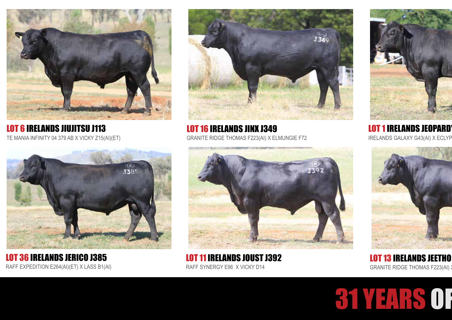

LOT 6 IRELANDS JIUJITSU J113 TE MANIA INFINITY 04 379 AB X VICKY Z15(AI)(ET)



LOT 16 IRELANDS JINX J349 GRANITE RIDGE THOMAS F223(AI) X ELMUNGIE F72



**LOT 1 IRELANDS JEOPARD** IRELANDS GALAXY G43(AI) X ECLYP



**LOT 13 IRELANDS JEETHO** GRANITE RIDGE THOMAS F223(AI)





LOT 36 IRELANDS JERICO J385 RAFF EXPEDITION E264(AI)(ET) X LASS B1(AI)



LOT 11 IRELANDS JOUST J392 RAFF SYNERGY E96 X VICKY D14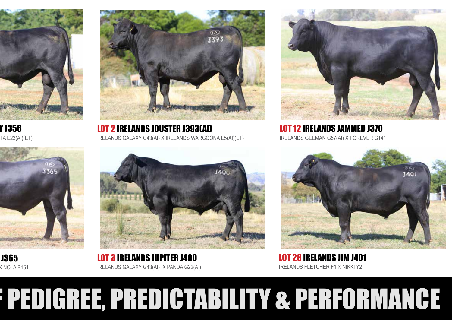







LOT 1 IRELANDS JEOPARDY J356 LOT 2 IRELANDS JOUSTER J393(AI) IRELANDS GALAXY G43(AI) X IRELANDS WARGOONA E5(AI)(ET)



LOT 3 IRELANDS JUPITER J400 IRELANDS GALAXY G43(AI) X PANDA G22(AI)



LOT 12 IRELANDS JAMMED J370 IRELANDS GEEMAN G57(AI) X FOREVER G141



LOT 28 IRELANDS JIM J401 IRELANDS FLETCHER F1 X NIKKI Y2

## 31 YEARS OF PEDIGREE, PREDICTABILITY & PERFORMANCE